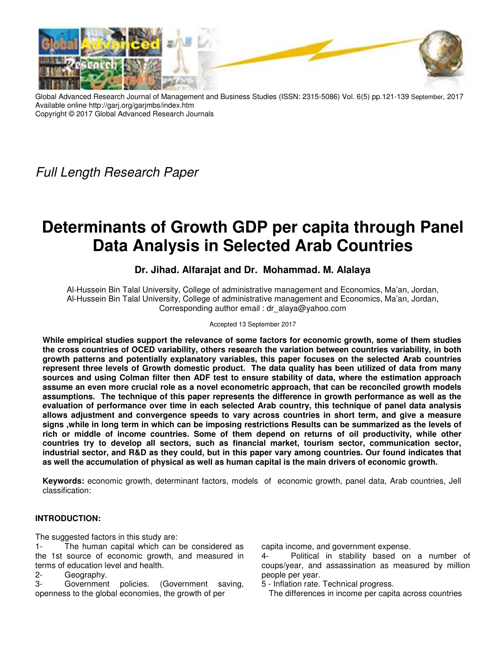

Global Advanced Research Journal of Management and Business Studies (ISSN: 2315-5086) Vol. 6(5) pp.121-139 September, 2017 Available online http://garj.org/garjmbs/index.htm Copyright © 2017 Global Advanced Research Journals

Full Length Research Paper

# **Determinants of Growth GDP per capita through Panel Data Analysis in Selected Arab Countries**

## **Dr. Jihad. Alfarajat and Dr. Mohammad. M. Alalaya**

Al-Hussein Bin Talal University, College of administrative management and Economics, Ma'an, Jordan, Al-Hussein Bin Talal University, College of administrative management and Economics, Ma'an, Jordan, Corresponding author email : dr\_alaya@yahoo.com

Accepted 13 September 2017

**While empirical studies support the relevance of some factors for economic growth, some of them studies the cross countries of OCED variability, others research the variation between countries variability, in both growth patterns and potentially explanatory variables, this paper focuses on the selected Arab countries represent three levels of Growth domestic product. The data quality has been utilized of data from many sources and using Colman filter then ADF test to ensure stability of data, where the estimation approach assume an even more crucial role as a novel econometric approach, that can be reconciled growth models assumptions. The technique of this paper represents the difference in growth performance as well as the evaluation of performance over time in each selected Arab country, this technique of panel data analysis allows adjustment and convergence speeds to vary across countries in short term, and give a measure signs ,while in long term in which can be imposing restrictions Results can be summarized as the levels of rich or middle of income countries. Some of them depend on returns of oil productivity, while other countries try to develop all sectors, such as financial market, tourism sector, communication sector, industrial sector, and R&D as they could, but in this paper vary among countries. Our found indicates that as well the accumulation of physical as well as human capital is the main drivers of economic growth.** 

**Keywords:** economic growth, determinant factors, models of economic growth, panel data, Arab countries, Jell classification:

## **INTRODUCTION:**

The suggested factors in this study are:

- 1- The human capital which can be considered as the 1st source of economic growth, and measured in terms of education level and health.
- 2- Geography.
- 3- Government policies. (Government saving, openness to the global economies, the growth of per

capita income, and government expense.

Political in stability based on a number of coups/year, and assassination as measured by million people per year.

5 - Inflation rate. Technical progress.

The differences in income per capita across countries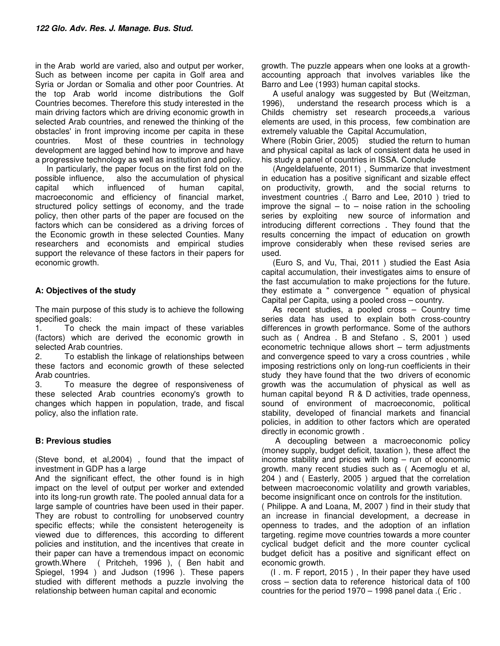in the Arab world are varied, also and output per worker, Such as between income per capita in Golf area and Syria or Jordan or Somalia and other poor Countries. At the top Arab world income distributions the Golf Countries becomes. Therefore this study interested in the main driving factors which are driving economic growth in selected Arab countries, and renewed the thinking of the obstacles' in front improving income per capita in these countries. Most of these countries in technology development are lagged behind how to improve and have a progressive technology as well as institution and policy.

 In particularly, the paper focus on the first fold on the possible influence, also the accumulation of physical capital which influenced of human capital, macroeconomic and efficiency of financial market, structured policy settings of economy, and the trade policy, then other parts of the paper are focused on the factors which can be considered as a driving forces of the Economic growth in these selected Counties. Many researchers and economists and empirical studies support the relevance of these factors in their papers for economic growth.

## **A: Objectives of the study**

The main purpose of this study is to achieve the following specified goals:

1. To check the main impact of these variables (factors) which are derived the economic growth in selected Arab countries.

2. To establish the linkage of relationships between these factors and economic growth of these selected Arab countries.

3. To measure the degree of responsiveness of these selected Arab countries economy's growth to changes which happen in population, trade, and fiscal policy, also the inflation rate.

## **B: Previous studies**

(Steve bond, et al,2004) , found that the impact of investment in GDP has a large

And the significant effect, the other found is in high impact on the level of output per worker and extended into its long-run growth rate. The pooled annual data for a large sample of countries have been used in their paper. They are robust to controlling for unobserved country specific effects; while the consistent heterogeneity is viewed due to differences, this according to different policies and institution, and the incentives that create in their paper can have a tremendous impact on economic growth.Where ( Pritcheh, 1996 ), ( Ben habit and Spiegel, 1994 ) and Judson (1996 ). These papers studied with different methods a puzzle involving the relationship between human capital and economic

growth. The puzzle appears when one looks at a growthaccounting approach that involves variables like the Barro and Lee (1993) human capital stocks.

 A useful analogy was suggested by But (Weitzman, 1996), understand the research process which is a Childs chemistry set research proceeds,a various elements are used, in this process, few combination are extremely valuable the Capital Accumulation,

Where (Robin Grier, 2005) studied the return to human and physical capital as lack of consistent data he used in his study a panel of countries in ISSA. Conclude

 (Angeldelafuente, 2011) , Summarize that investment in education has a positive significant and sizable effect and the social returns to investment countries .( Barro and Lee, 2010 ) tried to improve the signal  $-$  to  $-$  noise ration in the schooling series by exploiting new source of information and introducing different corrections . They found that the results concerning the impact of education on growth improve considerably when these revised series are used.

 (Euro S, and Vu, Thai, 2011 ) studied the East Asia capital accumulation, their investigates aims to ensure of the fast accumulation to make projections for the future. they estimate a " convergence " equation of physical Capital per Capita, using a pooled cross – country.

 As recent studies, a pooled cross – Country time series data has used to explain both cross-country differences in growth performance. Some of the authors such as ( Andrea . B and Stefano . S, 2001 ) used econometric technique allows short – term adjustments and convergence speed to vary a cross countries , while imposing restrictions only on long-run coefficients in their study they have found that the two drivers of economic growth was the accumulation of physical as well as human capital beyond R & D activities, trade openness, sound of environment of macroeconomic, political stability, developed of financial markets and financial policies, in addition to other factors which are operated directly in economic growth .

 A decoupling between a macroeconomic policy (money supply, budget deficit, taxation ), these affect the income stability and prices with long – run of economic growth. many recent studies such as ( Acemoglu et al, 204 ) and ( Easterly, 2005 ) argued that the correlation between macroeconomic volatility and growth variables, become insignificant once on controls for the institution.

( Philippe. A and Loana, M, 2007 ) find in their study that an increase in financial development, a decrease in openness to trades, and the adoption of an inflation targeting. regime move countries towards a more counter cyclical budget deficit and the more counter cyclical budget deficit has a positive and significant effect on economic growth.

 (I . m. F report, 2015 ) , In their paper they have used cross – section data to reference historical data of 100 countries for the period 1970 – 1998 panel data .( Eric .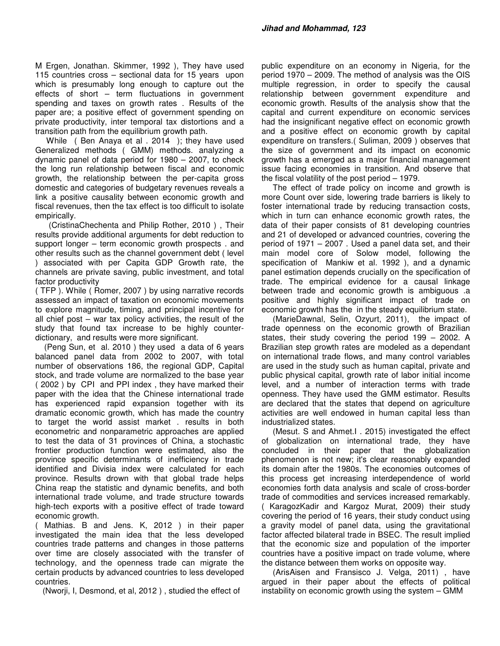M Ergen, Jonathan. Skimmer, 1992 ), They have used 115 countries cross – sectional data for 15 years upon which is presumably long enough to capture out the effects of short – term fluctuations in government spending and taxes on growth rates . Results of the paper are; a positive effect of government spending on private productivity, inter temporal tax distortions and a transition path from the equilibrium growth path.

 While ( Ben Anaya et al . 2014 ); they have used Generalized methods ( GMM) methods. analyzing a dynamic panel of data period for 1980 – 2007, to check the long run relationship between fiscal and economic growth, the relationship between the per-capita gross domestic and categories of budgetary revenues reveals a link a positive causality between economic growth and fiscal revenues, then the tax effect is too difficult to isolate empirically.

 (CristinaChechenta and Philip Rother, 2010 ) , Their results provide additional arguments for debt reduction to support longer – term economic growth prospects . and other results such as the channel government debt ( level ) associated with per Capita GDP Growth rate, the channels are private saving, public investment, and total factor productivity

( TFP ). While ( Romer, 2007 ) by using narrative records assessed an impact of taxation on economic movements to explore magnitude, timing, and principal incentive for all chief post – war tax policy activities, the result of the study that found tax increase to be highly counterdictionary, and results were more significant.

 (Peng Sun, et al. 2010 ) they used a data of 6 years balanced panel data from 2002 to 2007, with total number of observations 186, the regional GDP, Capital stock, and trade volume are normalized to the base year ( 2002 ) by CPI and PPI index , they have marked their paper with the idea that the Chinese international trade has experienced rapid expansion together with its dramatic economic growth, which has made the country to target the world assist market . results in both econometric and nonparametric approaches are applied to test the data of 31 provinces of China, a stochastic frontier production function were estimated, also the province specific determinants of inefficiency in trade identified and Divisia index were calculated for each province. Results drown with that global trade helps China reap the statistic and dynamic benefits, and both international trade volume, and trade structure towards high-tech exports with a positive effect of trade toward economic growth.

( Mathias. B and Jens. K, 2012 ) in their paper investigated the main idea that the less developed countries trade patterns and changes in those patterns over time are closely associated with the transfer of technology, and the openness trade can migrate the certain products by advanced countries to less developed countries.

(Nworji, I, Desmond, et al, 2012 ) , studied the effect of

public expenditure on an economy in Nigeria, for the period 1970 – 2009. The method of analysis was the OIS multiple regression, in order to specify the causal relationship between government expenditure and economic growth. Results of the analysis show that the capital and current expenditure on economic services had the insignificant negative effect on economic growth and a positive effect on economic growth by capital expenditure on transfers.( Suliman, 2009 ) observes that the size of government and its impact on economic growth has a emerged as a major financial management issue facing economies in transition. And observe that the fiscal volatility of the post period – 1979.

 The effect of trade policy on income and growth is more Count over side, lowering trade barriers is likely to foster international trade by reducing transaction costs, which in turn can enhance economic growth rates, the data of their paper consists of 81 developing countries and 21 of developed or advanced countries, covering the period of 1971 – 2007 . Used a panel data set, and their main model core of Solow model, following the specification of Mankiw et al. 1992 ), and a dynamic panel estimation depends crucially on the specification of trade. The empirical evidence for a causal linkage between trade and economic growth is ambiguous .a positive and highly significant impact of trade on economic growth has the in the steady equilibrium state.

 (MarieDawnal, Selin, Ozyurt, 2011), the impact of trade openness on the economic growth of Brazilian states, their study covering the period 199 – 2002. A Brazilian step growth rates are modeled as a dependant on international trade flows, and many control variables are used in the study such as human capital, private and public physical capital, growth rate of labor initial income level, and a number of interaction terms with trade openness. They have used the GMM estimator. Results are declared that the states that depend on agriculture activities are well endowed in human capital less than industrialized states.

 (Mesut. S and Ahmet.I . 2015) investigated the effect of globalization on international trade, they have concluded in their paper that the globalization phenomenon is not new; it's clear reasonably expanded its domain after the 1980s. The economies outcomes of this process get increasing interdependence of world economies forth data analysis and scale of cross-border trade of commodities and services increased remarkably. ( KaragozKadir and Kargoz Murat, 2009) their study covering the period of 16 years, their study conduct using a gravity model of panel data, using the gravitational factor affected bilateral trade in BSEC. The result implied that the economic size and population of the importer countries have a positive impact on trade volume, where the distance between them works on opposite way.

 (ArisAisen and Fransisco J. Velga, 2011) , have argued in their paper about the effects of political instability on economic growth using the system – GMM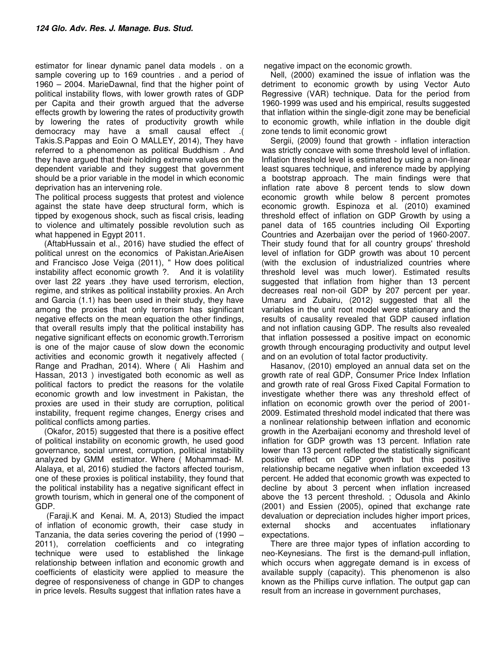estimator for linear dynamic panel data models . on a sample covering up to 169 countries . and a period of 1960 – 2004. MarieDawnal, find that the higher point of political instability flows, with lower growth rates of GDP per Capita and their growth argued that the adverse effects growth by lowering the rates of productivity growth by lowering the rates of productivity growth while democracy may have a small causal effect .( Takis.S.Pappas and Eoin O MALLEY, 2014), They have referred to a phenomenon as political Buddhism . And they have argued that their holding extreme values on the dependent variable and they suggest that government should be a prior variable in the model in which economic deprivation has an intervening role.

The political process suggests that protest and violence against the state have deep structural form, which is tipped by exogenous shock, such as fiscal crisis, leading to violence and ultimately possible revolution such as what happened in Egypt 2011.

 (AftabHussain et al., 2016) have studied the effect of political unrest on the economics of Pakistan.ArieAisen and Francisco Jose Veiga (2011), " How does political instability affect economic growth ?. And it is volatility over last 22 years .they have used terrorism, election, regime, and strikes as political instability proxies. An Arch and Garcia (1.1) has been used in their study, they have among the proxies that only terrorism has significant negative effects on the mean equation the other findings, that overall results imply that the political instability has negative significant effects on economic growth.Terrorism is one of the major cause of slow down the economic activities and economic growth it negatively affected ( Range and Pradhan, 2014). Where ( Ali Hashim and Hassan, 2013 ) investigated both economic as well as political factors to predict the reasons for the volatile economic growth and low investment in Pakistan, the proxies are used in their study are corruption, political instability, frequent regime changes, Energy crises and political conflicts among parties.

 (Okafor, 2015) suggested that there is a positive effect of political instability on economic growth, he used good governance, social unrest, corruption, political instability analyzed by GMM estimator. Where ( Mohammad- M. Alalaya, et al, 2016) studied the factors affected tourism, one of these proxies is political instability, they found that the political instability has a negative significant effect in growth tourism, which in general one of the component of GDP.

 (Faraji.K and Kenai. M. A, 2013) Studied the impact of inflation of economic growth, their case study in Tanzania, the data series covering the period of (1990 – 2011), correlation coefficients and co integrating technique were used to established the linkage relationship between inflation and economic growth and coefficients of elasticity were applied to measure the degree of responsiveness of change in GDP to changes in price levels. Results suggest that inflation rates have a

negative impact on the economic growth.

 Nell, (2000) examined the issue of inflation was the detriment to economic growth by using Vector Auto Regressive (VAR) technique. Data for the period from 1960-1999 was used and his empirical, results suggested that inflation within the single-digit zone may be beneficial to economic growth, while inflation in the double digit zone tends to limit economic growt

 Sergii, (2009) found that growth - inflation interaction was strictly concave with some threshold level of inflation. Inflation threshold level is estimated by using a non-linear least squares technique, and inference made by applying a bootstrap approach. The main findings were that inflation rate above 8 percent tends to slow down economic growth while below 8 percent promotes economic growth. Espinoza et al. (2010) examined threshold effect of inflation on GDP Growth by using a panel data of 165 countries including Oil Exporting Countries and Azerbaijan over the period of 1960-2007. Their study found that for all country groups' threshold level of inflation for GDP growth was about 10 percent (with the exclusion of industrialized countries where threshold level was much lower). Estimated results suggested that inflation from higher than 13 percent decreases real non-oil GDP by 207 percent per year. Umaru and Zubairu, (2012) suggested that all the variables in the unit root model were stationary and the results of causality revealed that GDP caused inflation and not inflation causing GDP. The results also revealed that inflation possessed a positive impact on economic growth through encouraging productivity and output level and on an evolution of total factor productivity.

 Hasanov, (2010) employed an annual data set on the growth rate of real GDP, Consumer Price Index Inflation and growth rate of real Gross Fixed Capital Formation to investigate whether there was any threshold effect of inflation on economic growth over the period of 2001- 2009. Estimated threshold model indicated that there was a nonlinear relationship between inflation and economic growth in the Azerbaijani economy and threshold level of inflation for GDP growth was 13 percent. Inflation rate lower than 13 percent reflected the statistically significant positive effect on GDP growth but this positive relationship became negative when inflation exceeded 13 percent. He added that economic growth was expected to decline by about 3 percent when inflation increased above the 13 percent threshold. ; Odusola and Akinlo (2001) and Essien (2005), opined that exchange rate devaluation or depreciation includes higher import prices, external shocks and accentuates inflationary expectations.

 There are three major types of inflation according to neo-Keynesians. The first is the demand-pull inflation, which occurs when aggregate demand is in excess of available supply (capacity). This phenomenon is also known as the Phillips curve inflation. The output gap can result from an increase in government purchases,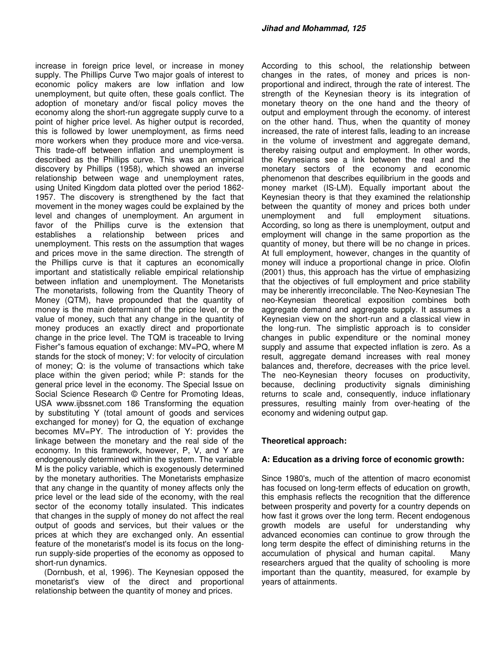increase in foreign price level, or increase in money supply. The Phillips Curve Two major goals of interest to economic policy makers are low inflation and low unemployment, but quite often, these goals conflict. The adoption of monetary and/or fiscal policy moves the economy along the short-run aggregate supply curve to a point of higher price level. As higher output is recorded, this is followed by lower unemployment, as firms need more workers when they produce more and vice-versa. This trade-off between inflation and unemployment is described as the Phillips curve. This was an empirical discovery by Phillips (1958), which showed an inverse relationship between wage and unemployment rates, using United Kingdom data plotted over the period 1862- 1957. The discovery is strengthened by the fact that movement in the money wages could be explained by the level and changes of unemployment. An argument in favor of the Phillips curve is the extension that establishes a relationship between prices and unemployment. This rests on the assumption that wages and prices move in the same direction. The strength of the Phillips curve is that it captures an economically important and statistically reliable empirical relationship between inflation and unemployment. The Monetarists The monetarists, following from the Quantity Theory of Money (QTM), have propounded that the quantity of money is the main determinant of the price level, or the value of money, such that any change in the quantity of money produces an exactly direct and proportionate change in the price level. The TQM is traceable to Irving Fisher"s famous equation of exchange: MV=PQ, where M stands for the stock of money; V: for velocity of circulation of money; Q: is the volume of transactions which take place within the given period; while P: stands for the general price level in the economy. The Special Issue on Social Science Research © Centre for Promoting Ideas, USA www.ijbssnet.com 186 Transforming the equation by substituting Y (total amount of goods and services exchanged for money) for Q, the equation of exchange becomes MV=PY. The introduction of Y: provides the linkage between the monetary and the real side of the economy. In this framework, however, P, V, and Y are endogenously determined within the system. The variable M is the policy variable, which is exogenously determined by the monetary authorities. The Monetarists emphasize that any change in the quantity of money affects only the price level or the lead side of the economy, with the real sector of the economy totally insulated. This indicates that changes in the supply of money do not affect the real output of goods and services, but their values or the prices at which they are exchanged only. An essential feature of the monetarist's model is its focus on the longrun supply-side properties of the economy as opposed to short-run dynamics.

 (Dornbush, et al, 1996). The Keynesian opposed the monetarist's view of the direct and proportional relationship between the quantity of money and prices.

According to this school, the relationship between changes in the rates, of money and prices is nonproportional and indirect, through the rate of interest. The strength of the Keynesian theory is its integration of monetary theory on the one hand and the theory of output and employment through the economy. of interest on the other hand. Thus, when the quantity of money increased, the rate of interest falls, leading to an increase in the volume of investment and aggregate demand, thereby raising output and employment. In other words, the Keynesians see a link between the real and the monetary sectors of the economy and economic phenomenon that describes equilibrium in the goods and money market (IS-LM). Equally important about the Keynesian theory is that they examined the relationship between the quantity of money and prices both under<br>unemployment and full employment situations. unemployment and full employment situations. According, so long as there is unemployment, output and employment will change in the same proportion as the quantity of money, but there will be no change in prices. At full employment, however, changes in the quantity of money will induce a proportional change in price. Olofin (2001) thus, this approach has the virtue of emphasizing that the objectives of full employment and price stability may be inherently irreconcilable. The Neo-Keynesian The neo-Keynesian theoretical exposition combines both aggregate demand and aggregate supply. It assumes a Keynesian view on the short-run and a classical view in the long-run. The simplistic approach is to consider changes in public expenditure or the nominal money supply and assume that expected inflation is zero. As a result, aggregate demand increases with real money balances and, therefore, decreases with the price level. The neo-Keynesian theory focuses on productivity, because, declining productivity signals diminishing returns to scale and, consequently, induce inflationary pressures, resulting mainly from over-heating of the economy and widening output gap.

## **Theoretical approach:**

## **A: Education as a driving force of economic growth:**

Since 1980's, much of the attention of macro economist has focused on long-term effects of education on growth, this emphasis reflects the recognition that the difference between prosperity and poverty for a country depends on how fast it grows over the long term. Recent endogenous growth models are useful for understanding why advanced economies can continue to grow through the long term despite the effect of diminishing returns in the accumulation of physical and human capital. Many researchers argued that the quality of schooling is more important than the quantity, measured, for example by years of attainments.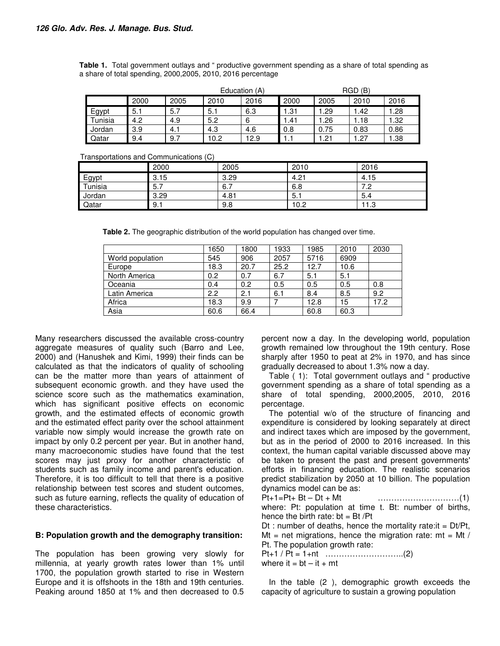|         | Education (A) |      |      |      | RGD(B) |      |      |       |
|---------|---------------|------|------|------|--------|------|------|-------|
|         | 2000          | 2005 | 2010 | 2016 | 2000   | 2005 | 2010 | 2016  |
| Egypt   | 5.1           | 5.7  | 5.1  | 6.3  | 1.31   | 1.29 | .42  | .28   |
| Tunisia | 4.2           | 4.9  | 5.2  | 6    | 1.41   | 1.26 | .18  | .32   |
| Jordan  | 3.9           | 4.1  | 4.3  | 4.6  | 0.8    | 0.75 | 0.83 | 0.86  |
| Qatar   | 9.4           | 9.7  | 10.2 | 12.9 | 1.1    | 1.21 | .27  | . .38 |

**Table 1.** Total government outlays and " productive government spending as a share of total spending as a share of total spending, 2000,2005, 2010, 2016 percentage

Transportations and Communications (C)

|         | 2000 | 2005 | 2010  | 2016 |
|---------|------|------|-------|------|
| Egypt   | 3.15 | 3.29 | 4.21  | 4.15 |
| Tunisia | 5.7  | 6.7  | 6.8   | ے. ا |
| Jordan  | 3.29 | 4.81 | $-5.$ | 5.4  |
| Qatar   | 9.1  | 9.8  | 10.2  | 11.3 |

**Table 2.** The geographic distribution of the world population has changed over time.

|                  | 1650          | 1800 | 1933 | 1985 | 2010 | 2030 |
|------------------|---------------|------|------|------|------|------|
| World population | 545           | 906  | 2057 | 5716 | 6909 |      |
| Europe           | 18.3          | 20.7 | 25.2 | 12.7 | 10.6 |      |
| North America    | 0.2           | 0.7  | 6.7  | 5.1  | 5.1  |      |
| Oceania          | 0.4           | 0.2  | 0.5  | 0.5  | 0.5  | 0.8  |
| Latin America    | $2.2^{\circ}$ | 2.1  | 6.1  | 8.4  | 8.5  | 9.2  |
| Africa           | 18.3          | 9.9  |      | 12.8 | 15   | 17.2 |
| Asia             | 60.6          | 66.4 |      | 60.8 | 60.3 |      |

Many researchers discussed the available cross-country aggregate measures of quality such (Barro and Lee, 2000) and (Hanushek and Kimi, 1999) their finds can be calculated as that the indicators of quality of schooling can be the matter more than years of attainment of subsequent economic growth. and they have used the science score such as the mathematics examination, which has significant positive effects on economic growth, and the estimated effects of economic growth and the estimated effect parity over the school attainment variable now simply would increase the growth rate on impact by only 0.2 percent per year. But in another hand, many macroeconomic studies have found that the test scores may just proxy for another characteristic of students such as family income and parent's education. Therefore, it is too difficult to tell that there is a positive relationship between test scores and student outcomes, such as future earning, reflects the quality of education of these characteristics.

## **B: Population growth and the demography transition:**

The population has been growing very slowly for millennia, at yearly growth rates lower than 1% until 1700, the population growth started to rise in Western Europe and it is offshoots in the 18th and 19th centuries. Peaking around 1850 at 1% and then decreased to 0.5 percent now a day. In the developing world, population growth remained low throughout the 19th century. Rose sharply after 1950 to peat at 2% in 1970, and has since gradually decreased to about 1.3% now a day.

Table ( 1): Total government outlays and " productive government spending as a share of total spending as a share of total spending, 2000,2005, 2010, 2016 percentage.

The potential w/o of the structure of financing and expenditure is considered by looking separately at direct and indirect taxes which are imposed by the government, but as in the period of 2000 to 2016 increased. In this context, the human capital variable discussed above may be taken to present the past and present governments' efforts in financing education. The realistic scenarios predict stabilization by 2050 at 10 billion. The population dynamics model can be as:

Pt+1=Pt+ Bt – Dt + Mt …………………………(1) where: Pt: population at time t. Bt: number of births, hence the birth rate:  $bt = Bt / Pt$ 

Dt : number of deaths, hence the mortality rate:  $it = Dt/Pt$ , Mt = net migrations, hence the migration rate:  $mt = Mt /$ Pt. The population growth rate:

Pt+1 / Pt = 1+nt ………………………..(2) where it =  $bt - it + mt$ 

In the table (2 ), demographic growth exceeds the capacity of agriculture to sustain a growing population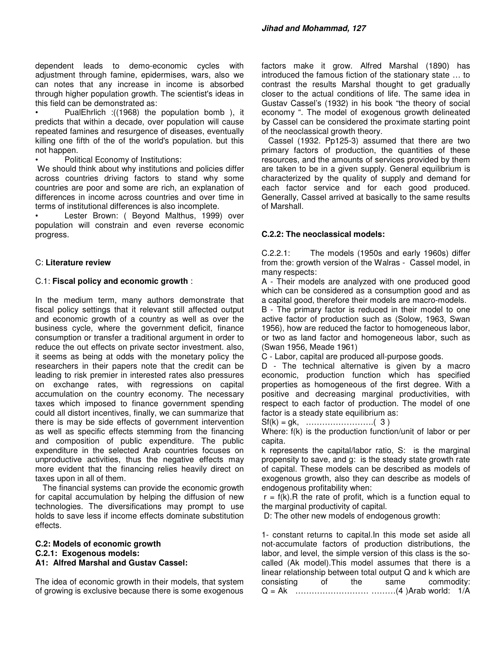dependent leads to demo-economic cycles with adjustment through famine, epidermises, wars, also we can notes that any increase in income is absorbed through higher population growth. The scientist's ideas in this field can be demonstrated as:

• PualEhrlich :((1968) the population bomb ), it predicts that within a decade, over population will cause repeated famines and resurgence of diseases, eventually killing one fifth of the of the world's population. but this not happen.

• Political Economy of Institutions:

 We should think about why institutions and policies differ across countries driving factors to stand why some countries are poor and some are rich, an explanation of differences in income across countries and over time in terms of institutional differences is also incomplete.

Lester Brown: ( Beyond Malthus, 1999) over population will constrain and even reverse economic progress.

## C: **Literature review**

#### C.1: **Fiscal policy and economic growth** :

In the medium term, many authors demonstrate that fiscal policy settings that it relevant still affected output and economic growth of a country as well as over the business cycle, where the government deficit, finance consumption or transfer a traditional argument in order to reduce the out effects on private sector investment. also, it seems as being at odds with the monetary policy the researchers in their papers note that the credit can be leading to risk premier in interested rates also pressures on exchange rates, with regressions on capital accumulation on the country economy. The necessary taxes which imposed to finance government spending could all distort incentives, finally, we can summarize that there is may be side effects of government intervention as well as specific effects stemming from the financing and composition of public expenditure. The public expenditure in the selected Arab countries focuses on unproductive activities, thus the negative effects may more evident that the financing relies heavily direct on taxes upon in all of them.

The financial systems can provide the economic growth for capital accumulation by helping the diffusion of new technologies. The diversifications may prompt to use holds to save less if income effects dominate substitution effects.

#### **C.2: Models of economic growth C.2.1: Exogenous models: A1: Alfred Marshal and Gustav Cassel:**

The idea of economic growth in their models, that system of growing is exclusive because there is some exogenous

factors make it grow. Alfred Marshal (1890) has introduced the famous fiction of the stationary state … to contrast the results Marshal thought to get gradually closer to the actual conditions of life. The same idea in Gustav Cassel's (1932) in his book "the theory of social economy ". The model of exogenous growth delineated by Cassel can be considered the proximate starting point of the neoclassical growth theory.

 Cassel (1932. Pp125-3) assumed that there are two primary factors of production, the quantities of these resources, and the amounts of services provided by them are taken to be in a given supply. General equilibrium is characterized by the quality of supply and demand for each factor service and for each good produced. Generally, Cassel arrived at basically to the same results of Marshall.

#### **C.2.2: The neoclassical models:**

C.2.2.1: The models (1950s and early 1960s) differ from the: growth version of the Walras - Cassel model, in many respects:

A - Their models are analyzed with one produced good which can be considered as a consumption good and as a capital good, therefore their models are macro-models.

B - The primary factor is reduced in their model to one active factor of production such as (Solow, 1963, Swan 1956), how are reduced the factor to homogeneous labor, or two as land factor and homogeneous labor, such as (Swan 1956, Meade 1961)

C - Labor, capital are produced all-purpose goods.

D - The technical alternative is given by a macro economic, production function which has specified properties as homogeneous of the first degree. With a positive and decreasing marginal productivities, with respect to each factor of production. The model of one factor is a steady state equilibrium as:

Sf(k) = gk, …………………….( 3 )

Where: f(k) is the production function/unit of labor or per capita.

k represents the capital/labor ratio, S: is the marginal propensity to save, and g: is the steady state growth rate of capital. These models can be described as models of exogenous growth, also they can describe as models of endogenous profitability when:

 $r = f(k)$ . R the rate of profit, which is a function equal to the marginal productivity of capital.

D: The other new models of endogenous growth:

1- constant returns to capital.In this mode set aside all not-accumulate factors of production distributions, the labor, and level, the simple version of this class is the socalled (Ak model).This model assumes that there is a linear relationship between total output Q and k which are consisting of the same commodity: Q = Ak ……………………… ………(4 )Arab world: 1/A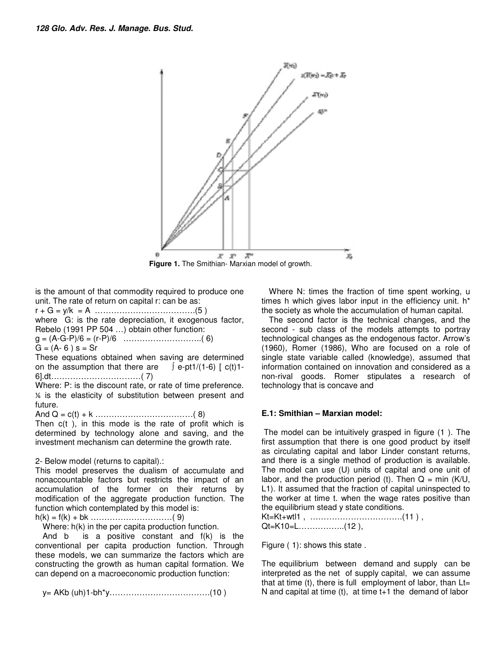

**Figure 1.** The Smithian- Marxian model of growth.

is the amount of that commodity required to produce one unit. The rate of return on capital r: can be as: r + G = y/k = A ……………………………….(5 )

where G: is the rate depreciation, it exogenous factor, Rebelo (1991 PP 504 …) obtain other function:

g = (A-G-P)/6 = (r-P)/6 ………………………..( 6)

 $G = (A - 6) s = Sr$ 

These equations obtained when saving are determined on the assumption that there are  $\int e$ -pt1/(1-6) [ c(t)1-6].dt……………………………( 7)

Where: P: is the discount rate, or rate of time preference. ⅙ is the elasticity of substitution between present and future.

And Q = c(t) + k ………………………………( 8)

Then c(t ), in this mode is the rate of profit which is determined by technology alone and saving, and the investment mechanism can determine the growth rate.

2- Below model (returns to capital).:

This model preserves the dualism of accumulate and nonaccountable factors but restricts the impact of an accumulation of the former on their returns by modification of the aggregate production function. The function which contemplated by this model is:

h(k) = f(k) + bk …………………………( 9)

Where: h(k) in the per capita production function.

And b is a positive constant and f(k) is the conventional per capita production function. Through these models, we can summarize the factors which are constructing the growth as human capital formation. We can depend on a macroeconomic production function:

y= AKb (uh)1-bh\*y……………………………….(10 )

Where N: times the fraction of time spent working, u times h which gives labor input in the efficiency unit. h\* the society as whole the accumulation of human capital.

The second factor is the technical changes, and the second - sub class of the models attempts to portray technological changes as the endogenous factor. Arrow's (1960), Romer (1986), Who are focused on a role of single state variable called (knowledge), assumed that information contained on innovation and considered as a non-rival goods. Romer stipulates a research of technology that is concave and

## **E.1: Smithian – Marxian model:**

 The model can be intuitively grasped in figure (1 ). The first assumption that there is one good product by itself as circulating capital and labor Linder constant returns, and there is a single method of production is available. The model can use (U) units of capital and one unit of labor, and the production period (t). Then  $Q = min (K/U,$ L1). It assumed that the fraction of capital uninspected to the worker at time t. when the wage rates positive than the equilibrium stead y state conditions.

Kt=Kt+wtl1 , …………………………….(11 ) , Qt=K10=L……………..(12 ),

Figure ( 1): shows this state .

The equilibrium between demand and supply can be interpreted as the net of supply capital, we can assume that at time (t), there is full employment of labor, than  $Lt =$ N and capital at time (t), at time t+1 the demand of labor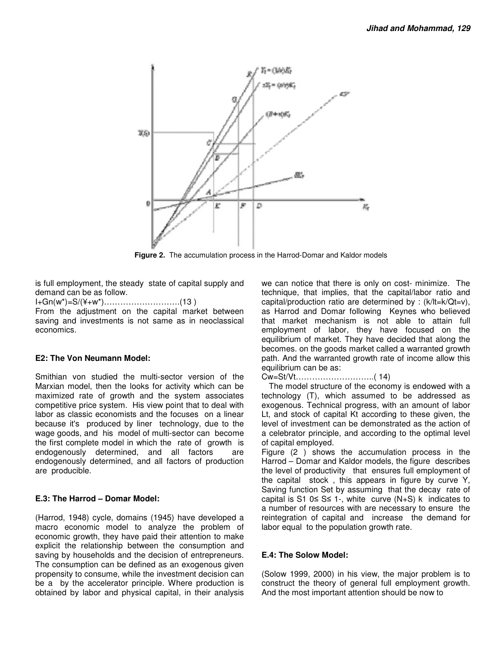

**Figure 2.** The accumulation process in the Harrod-Domar and Kaldor models

is full employment, the steady state of capital supply and demand can be as follow.

I+Gn(w\*)=S/(¥+w\*)……………………….(13 )

From the adjustment on the capital market between saving and investments is not same as in neoclassical economics.

## **E2: The Von Neumann Model:**

Smithian von studied the multi-sector version of the Marxian model, then the looks for activity which can be maximized rate of growth and the system associates competitive price system. His view point that to deal with labor as classic economists and the focuses on a linear because it's produced by liner technology, due to the wage goods, and his model of multi-sector can become the first complete model in which the rate of growth is endogenously determined, and all factors are endogenously determined, and all factors of production are producible.

## **E.3: The Harrod – Domar Model:**

(Harrod, 1948) cycle, domains (1945) have developed a macro economic model to analyze the problem of economic growth, they have paid their attention to make explicit the relationship between the consumption and saving by households and the decision of entrepreneurs. The consumption can be defined as an exogenous given propensity to consume, while the investment decision can be a by the accelerator principle. Where production is obtained by labor and physical capital, in their analysis we can notice that there is only on cost- minimize. The technique, that implies, that the capital/labor ratio and capital/production ratio are determined by : (k/lt=k/Qt=v), as Harrod and Domar following Keynes who believed that market mechanism is not able to attain full employment of labor, they have focused on the equilibrium of market. They have decided that along the becomes. on the goods market called a warranted growth path. And the warranted growth rate of income allow this equilibrium can be as:

Cw=St/Vt………………………..( 14)

The model structure of the economy is endowed with a technology (T), which assumed to be addressed as exogenous. Technical progress, with an amount of labor Lt, and stock of capital Kt according to these given, the level of investment can be demonstrated as the action of a celebrator principle, and according to the optimal level of capital employed.

Figure (2 ) shows the accumulation process in the Harrod – Domar and Kaldor models, the figure describes the level of productivity that ensures full employment of the capital stock , this appears in figure by curve Y, Saving function Set by assuming that the decay rate of capital is S1 0≤ S≤ 1-, white curve  $(N+S)$  k indicates to a number of resources with are necessary to ensure the reintegration of capital and increase the demand for labor equal to the population growth rate.

## **E.4: The Solow Model:**

(Solow 1999, 2000) in his view, the major problem is to construct the theory of general full employment growth. And the most important attention should be now to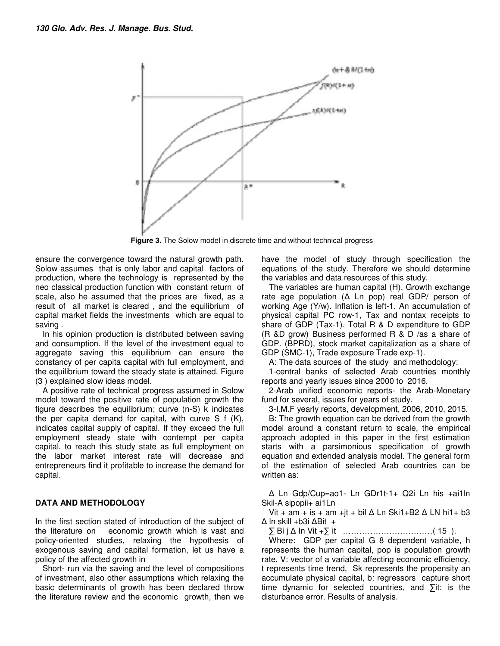

**Figure 3.** The Solow model in discrete time and without technical progress

ensure the convergence toward the natural growth path. Solow assumes that is only labor and capital factors of production, where the technology is represented by the neo classical production function with constant return of scale, also he assumed that the prices are fixed, as a result of all market is cleared , and the equilibrium of capital market fields the investments which are equal to saving .

In his opinion production is distributed between saving and consumption. If the level of the investment equal to aggregate saving this equilibrium can ensure the constancy of per capita capital with full employment, and the equilibrium toward the steady state is attained. Figure (3 ) explained slow ideas model.

A positive rate of technical progress assumed in Solow model toward the positive rate of population growth the figure describes the equilibrium; curve (n-S) k indicates the per capita demand for capital, with curve S f (K), indicates capital supply of capital. If they exceed the full employment steady state with contempt per capita capital. to reach this study state as full employment on the labor market interest rate will decrease and entrepreneurs find it profitable to increase the demand for capital.

## **DATA AND METHODOLOGY**

In the first section stated of introduction of the subject of the literature on economic growth which is vast and policy-oriented studies, relaxing the hypothesis of exogenous saving and capital formation, let us have a policy of the affected growth in

Short- run via the saving and the level of compositions of investment, also other assumptions which relaxing the basic determinants of growth has been declared throw the literature review and the economic growth, then we have the model of study through specification the equations of the study. Therefore we should determine the variables and data resources of this study.

The variables are human capital (H), Growth exchange rate age population (∆ Ln pop) real GDP/ person of working Age (Y/w). Inflation is left-1. An accumulation of physical capital PC row-1, Tax and nontax receipts to share of GDP (Tax-1). Total R & D expenditure to GDP (R &D grow) Business performed R & D /as a share of GDP. (BPRD), stock market capitalization as a share of GDP (SMC-1), Trade exposure Trade exp-1).

A: The data sources of the study and methodology:

1-central banks of selected Arab countries monthly reports and yearly issues since 2000 to 2016.

2-Arab unified economic reports- the Arab-Monetary fund for several, issues for years of study.

3-I.M.F yearly reports, development, 2006, 2010, 2015.

B: The growth equation can be derived from the growth model around a constant return to scale, the empirical approach adopted in this paper in the first estimation starts with a parsimonious specification of growth equation and extended analysis model. The general form of the estimation of selected Arab countries can be written as:

∆ Ln Gdp/Cup=ao1- Ln GDr1t-1+ Q2i Ln his +ai1ln Skil-A sipopii+ ai1Ln

Vit + am + is + am + jt + bil  $\Delta$  Ln Ski1+B2  $\Delta$  LN hi1+ b3 ∆ ln skill +b3i ∆Bit +

∑ Bi j ∆ In Vit +∑ it ……………………………( 15 ).

Where: GDP per capital G 8 dependent variable, h represents the human capital, pop is population growth rate. V: vector of a variable affecting economic efficiency, t represents time trend, Sk represents the propensity an accumulate physical capital, b: regressors capture short time dynamic for selected countries, and ∑it: is the disturbance error. Results of analysis.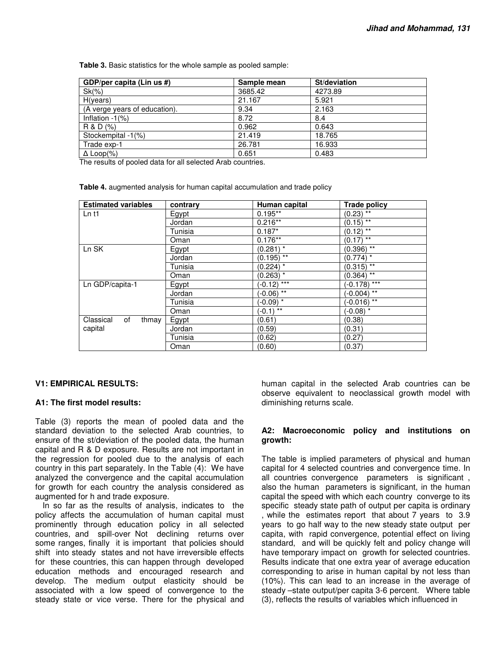**Table 3.** Basic statistics for the whole sample as pooled sample:

| GDP/per capita (Lin us #)     | Sample mean | St/deviation |
|-------------------------------|-------------|--------------|
| $Sk(\% )$                     | 3685.42     | 4273.89      |
| H(years)                      | 21.167      | 5.921        |
| (A verge years of education). | 9.34        | 2.163        |
| Inflation $-1$ (%)            | 8.72        | 8.4          |
| R & D (%)                     | 0.962       | 0.643        |
| Stockempital -1(%)            | 21.419      | 18.765       |
| Trade exp-1                   | 26.781      | 16.933       |
| $\Delta$ Loop(%)              | 0.651       | 0.483        |

The results of pooled data for all selected Arab countries.

**Table 4.** augmented analysis for human capital accumulation and trade policy

| <b>Estimated variables</b> | contrary     | Human capital           | <b>Trade policy</b>     |
|----------------------------|--------------|-------------------------|-------------------------|
| $Ln$ t1                    | <b>Egypt</b> | $0.195**$               | $(0.23)$ **             |
|                            | Jordan       | $0.216**$               | $(0.15)$ **             |
|                            | Tunisia      | $0.187*$                | $(0.12)^{1/4}$          |
|                            | Oman         | $0.176**$               | $(0.17)$ **             |
| Ln SK                      | Egypt        | $(0.281)^{1/2}$         | $(0.396)$ **            |
|                            | Jordan       | $(0.195)$ **            | $(0.774)$ *             |
|                            | Tunisia      | $(0.224)$ *             | $(0.315)$ **            |
|                            | Oman         | $(0.263)^{1/2}$         | $(0.364)$ <sup>**</sup> |
| Ln GDP/capita-1            | Egypt        | $(-0.12)$ ***           | $(-0.178)$ ***          |
|                            | Jordan       | $(-0.06)$ **            | $-0.004)$ **            |
|                            | Tunisia      | $(-0.09)$ *             | $(-0.016)$ **           |
|                            | Oman         | $(-0.1)^{\frac{1}{**}}$ | $(-0.08)$ *             |
| Classical<br>of<br>thmay   | Egypt        | (0.61)                  | (0.38)                  |
| capital                    | Jordan       | (0.59)                  | (0.31)                  |
|                            | Tunisia      | (0.62)                  | (0.27)                  |
|                            | Oman         | (0.60)                  | (0.37)                  |

## **V1: EMPIRICAL RESULTS:**

## **A1: The first model results:**

Table (3) reports the mean of pooled data and the standard deviation to the selected Arab countries, to ensure of the st/deviation of the pooled data, the human capital and R & D exposure. Results are not important in the regression for pooled due to the analysis of each country in this part separately. In the Table (4): We have analyzed the convergence and the capital accumulation for growth for each country the analysis considered as augmented for h and trade exposure.

In so far as the results of analysis, indicates to the policy affects the accumulation of human capital must prominently through education policy in all selected countries, and spill-over Not declining returns over some ranges, finally it is important that policies should shift into steady states and not have irreversible effects for these countries, this can happen through developed education methods and encouraged research and develop. The medium output elasticity should be associated with a low speed of convergence to the steady state or vice verse. There for the physical and human capital in the selected Arab countries can be observe equivalent to neoclassical growth model with diminishing returns scale.

#### **A2: Macroeconomic policy and institutions on growth:**

The table is implied parameters of physical and human capital for 4 selected countries and convergence time. In all countries convergence parameters is significant , also the human parameters is significant, in the human capital the speed with which each country converge to its specific steady state path of output per capita is ordinary , while the estimates report that about 7 years to 3.9 years to go half way to the new steady state output per capita, with rapid convergence, potential effect on living standard, and will be quickly felt and policy change will have temporary impact on growth for selected countries. Results indicate that one extra year of average education corresponding to arise in human capital by not less than (10%). This can lead to an increase in the average of steady –state output/per capita 3-6 percent. Where table (3), reflects the results of variables which influenced in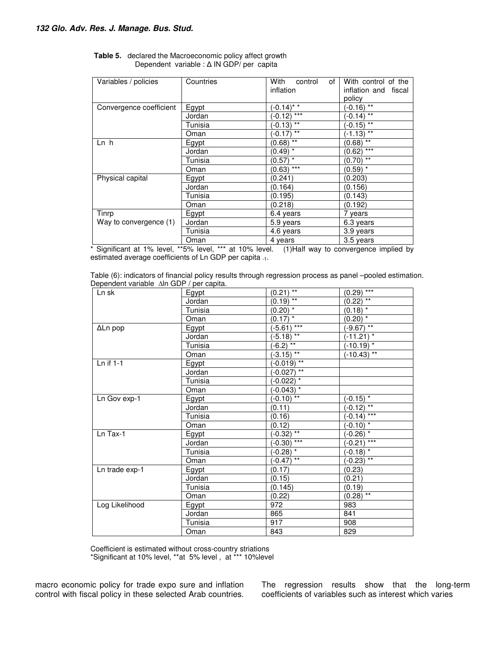| Variables / policies    | Countries | With<br>control<br>of  | With control of the    |
|-------------------------|-----------|------------------------|------------------------|
|                         |           | inflation              | inflation and fiscal   |
|                         |           |                        | policy                 |
| Convergence coefficient | Egypt     | $(-0.14)^*$            | $(-0.16)^{**}$         |
|                         | Jordan    | $(-0.12)$ ***          | $(-0.14)$ **           |
|                         | Tunisia   | $(-0.13)$ **           | $(-0.15)$ **           |
|                         | Oman      | $(-0.17)$ **           | $(-1.13)$ **           |
| Ln h                    | Egypt     | $(0.68)$ <sup>**</sup> | $(0.68)$ <sup>**</sup> |
|                         | Jordan    | $(0.49)^{\frac{1}{x}}$ | $(0.62)$ ***           |
|                         | Tunisia   | $(0.57)^{1/2}$         | $(0.70)$ **            |
|                         | Oman      | $(0.63)$ ***           | $(0.59)$ *             |
| Physical capital        | Egypt     | (0.241)                | (0.203)                |
|                         | Jordan    | (0.164)                | (0.156)                |
|                         | Tunisia   | (0.195)                | (0.143)                |
|                         | Oman      | (0.218)                | (0.192)                |
| Tinrp                   | Egypt     | 6.4 years              | 7 years                |
| Way to convergence (1)  | Jordan    | 5.9 years              | 6.3 years              |
|                         | Tunisia   | 4.6 years              | 3.9 years              |
|                         | Oman      | 4 years                | 3.5 years              |

| <b>Table 5.</b> declared the Macroeconomic policy affect growth |  |  |  |  |
|-----------------------------------------------------------------|--|--|--|--|
| Dependent variable : $\Delta$ IN GDP/ per capita                |  |  |  |  |

\* Significant at 1% level, \*\*5% level, \*\*\* at 10% level. (1)Half way to convergence implied by estimated average coefficients of Ln GDP per capita -1.

| Table (6): indicators of financial policy results through regression process as panel -pooled estimation. |  |  |
|-----------------------------------------------------------------------------------------------------------|--|--|
| Dependent variable $\Delta$ ln GDP / per capita.                                                          |  |  |

| Ln sk          | Egypt          | $(0.21)^{**}$                | $(0.29)$ ***           |
|----------------|----------------|------------------------------|------------------------|
|                | Jordan         | $(0.19)$ **                  | $(0.22)$ <sup>**</sup> |
|                | Tunisia        | $(0.20)$ *                   | $(0.18)$ *             |
|                | Oman           | $(0.17)$ *                   | $(0.20)^*$             |
| ΔLn pop        | Egypt          | $(-5.61)$ ***                | $(-9.67)$ **           |
|                | Jordan         | $(-5.18)$ **                 | $(-11.21)^*$           |
|                | Tunisia        | $(-6.2)^{**}$                | $(-10.19)^{1/2}$       |
|                | Oman           | $\sqrt{-3.15}$ <sup>**</sup> | $(-10.43)$ **          |
| Ln if 1-1      | Egypt          | $(-0.019)$ **                |                        |
|                | Jordan         | $(-0.027)$ **                |                        |
|                | <b>Tunisia</b> | $(-0.022)$ *                 |                        |
|                | Oman           | $(-0.043)$ *                 |                        |
| Ln Gov exp-1   | Egypt          | $(-0.10)$ **                 | $(-0.15)$ *            |
|                | Jordan         | (0.11)                       | $(-0.12)$ **           |
|                | Tunisia        | (0.16)                       | $(-0.14)$ ***          |
|                | Oman           | (0.12)                       | $(-0.10)$ *            |
| Ln Tax-1       | Egypt          | $(-0.32)$ **                 | $(-0.26)^*$            |
|                | Jordan         | $(-0.30)$ ***                | $(-0.21)$ ***          |
|                | Tunisia        | $\sqrt{(-0.28)^*}$           | $(-0.18)$ *            |
|                | Oman           | $(-0.47)$ **                 | $(-0.23)$ **           |
| Ln trade exp-1 | Egypt          | (0.17)                       | (0.23)                 |
|                | Jordan         | (0.15)                       | (0.21)                 |
|                | Tunisia        | (0.145)                      | (0.19)                 |
|                | Oman           | (0.22)                       | $(0.28)$ **            |
| Log Likelihood | Egypt          | 972                          | 983                    |
|                | Jordan         | 865                          | 841                    |
|                | Tunisia        | 917                          | 908                    |
|                | Oman           | 843                          | 829                    |

Coefficient is estimated without cross-country striations \*Significant at 10% level, \*\*at 5% level , at \*\*\* 10%level

macro economic policy for trade expo sure and inflation control with fiscal policy in these selected Arab countries. The regression results show that the long-term coefficients of variables such as interest which varies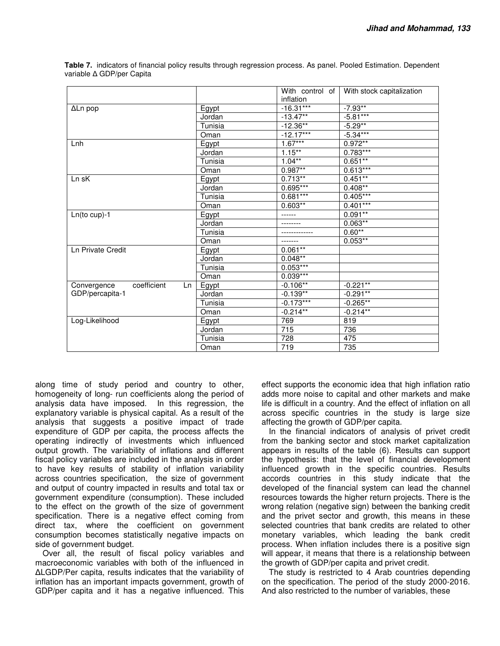|                                  |         | With control of | With stock capitalization |
|----------------------------------|---------|-----------------|---------------------------|
|                                  |         | inflation       |                           |
| ΔLn pop                          | Egypt   | $-16.31***$     | $-7.93**$                 |
|                                  | Jordan  | $-13.47**$      | $-5.81***$                |
|                                  | Tunisia | $-12.36**$      | $-5.29**$                 |
|                                  | Oman    | $-12.17***$     | $-5.34***$                |
| Lnh                              | Egypt   | $1.67***$       | $0.972**$                 |
|                                  | Jordan  | $1.15***$       | $0.783***$                |
|                                  | Tunisia | $1.04**$        | $0.651***$                |
|                                  | Oman    | $0.987**$       | $0.613***$                |
| Ln sK                            | Egypt   | $0.713**$       | $0.451***$                |
|                                  | Jordan  | 0.695***        | $0.408**$                 |
|                                  | Tunisia | $0.681***$      | $0.405***$                |
|                                  | Oman    | $0.603**$       | $0.401***$                |
| $Ln(to cup)-1$                   | Egypt   |                 | $0.091**$                 |
|                                  | Jordan  |                 | $0.063**$                 |
|                                  | Tunisia |                 | $0.60**$                  |
|                                  | Oman    |                 | $0.053**$                 |
| <b>Ln Private Credit</b>         | Egypt   | $0.061***$      |                           |
|                                  | Jordan  | $0.048***$      |                           |
|                                  | Tunisia | $0.053***$      |                           |
|                                  | Oman    | $0.039***$      |                           |
| coefficient<br>Convergence<br>Ln | Egypt   | $-0.106**$      | $-0.221**$                |
| GDP/percapita-1                  | Jordan  | $-0.139**$      | $-0.291***$               |
|                                  | Tunisia | $-0.173***$     | $-0.265**$                |
|                                  | Oman    | $-0.214**$      | $-0.214**$                |
| Log-Likelihood                   | Egypt   | 769             | 819                       |
|                                  | Jordan  | 715             | 736                       |
|                                  | Tunisia | 728             | 475                       |
|                                  | Oman    | 719             | 735                       |

**Table 7.** indicators of financial policy results through regression process. As panel. Pooled Estimation. Dependent variable ∆ GDP/per Capita

along time of study period and country to other, homogeneity of long- run coefficients along the period of analysis data have imposed. In this regression, the explanatory variable is physical capital. As a result of the analysis that suggests a positive impact of trade expenditure of GDP per capita, the process affects the operating indirectly of investments which influenced output growth. The variability of inflations and different fiscal policy variables are included in the analysis in order to have key results of stability of inflation variability across countries specification, the size of government and output of country impacted in results and total tax or government expenditure (consumption). These included to the effect on the growth of the size of government specification. There is a negative effect coming from direct tax, where the coefficient on government consumption becomes statistically negative impacts on side of government budget.

Over all, the result of fiscal policy variables and macroeconomic variables with both of the influenced in ∆LGDP/Per capita, results indicates that the variability of inflation has an important impacts government, growth of GDP/per capita and it has a negative influenced. This

effect supports the economic idea that high inflation ratio adds more noise to capital and other markets and make life is difficult in a country. And the effect of inflation on all across specific countries in the study is large size affecting the growth of GDP/per capita.

In the financial indicators of analysis of privet credit from the banking sector and stock market capitalization appears in results of the table (6). Results can support the hypothesis: that the level of financial development influenced growth in the specific countries. Results accords countries in this study indicate that the developed of the financial system can lead the channel resources towards the higher return projects. There is the wrong relation (negative sign) between the banking credit and the privet sector and growth, this means in these selected countries that bank credits are related to other monetary variables, which leading the bank credit process. When inflation includes there is a positive sign will appear, it means that there is a relationship between the growth of GDP/per capita and privet credit.

The study is restricted to 4 Arab countries depending on the specification. The period of the study 2000-2016. And also restricted to the number of variables, these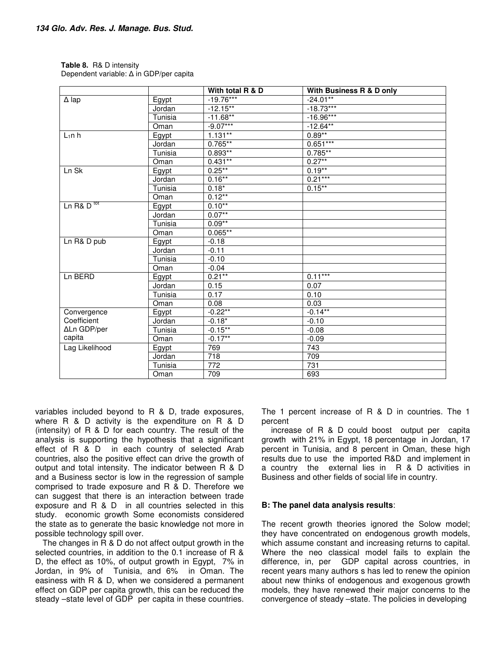| <b>Table 8.</b> R& D intensity          |
|-----------------------------------------|
| Dependent variable: ∆ in GDP/per capita |

|                                   |         | With total R & D | With Business R & D only |
|-----------------------------------|---------|------------------|--------------------------|
| $\Delta$ lap                      | Egypt   | $-19.76***$      | $-24.01**$               |
|                                   | Jordan  | $-12.15***$      | $-18.73***$              |
|                                   | Tunisia | $-11.68**$       | $-16.96***$              |
|                                   | Oman    | $-9.07***$       | $-12.64**$               |
| $L_1$ n h                         | Egypt   | $1.131***$       | $0.89**$                 |
|                                   | Jordan  | $0.765***$       | $0.651***$               |
|                                   | Tunisia | $0.893**$        | $0.785***$               |
|                                   | Oman    | $0.431**$        | $0.27***$                |
| Ln Sk                             | Egypt   | $0.25***$        | $0.19***$                |
|                                   | Jordan  | $0.16***$        | $0.21***$                |
|                                   | Tunisia | $0.18*$          | $0.15***$                |
|                                   | Oman    | $0.12***$        |                          |
| Ln R& $\overline{D}^{\text{tot}}$ | Egypt   | $0.10**$         |                          |
|                                   | Jordan  | $0.07**$         |                          |
|                                   | Tunisia | $0.09**$         |                          |
|                                   | Oman    | $0.065**$        |                          |
| Ln R& D pub                       | Egypt   | $-0.18$          |                          |
|                                   | Jordan  | $-0.11$          |                          |
|                                   | Tunisia | $-0.10$          |                          |
|                                   | Oman    | $-0.04$          |                          |
| Ln BERD                           | Egypt   | $0.21***$        | $0.11***$                |
|                                   | Jordan  | 0.15             | 0.07                     |
|                                   | Tunisia | 0.17             | 0.10                     |
|                                   | Oman    | 0.08             | 0.03                     |
| Convergence                       | Egypt   | $-0.22***$       | $-0.14***$               |
| Coefficient                       | Jordan  | $-0.18*$         | $-0.10$                  |
| ΔLn GDP/per                       | Tunisia | $-0.15***$       | $-0.08$                  |
| capita                            | Oman    | $-0.17**$        | $-0.09$                  |
| Lag Likelihood                    | Egypt   | 769              | 743                      |
|                                   | Jordan  | $\overline{718}$ | 709                      |
|                                   | Tunisia | 772              | 731                      |
|                                   | Oman    | 709              | 693                      |

variables included beyond to R & D, trade exposures, where R & D activity is the expenditure on R & D (intensity) of R & D for each country. The result of the analysis is supporting the hypothesis that a significant effect of R & D in each country of selected Arab countries, also the positive effect can drive the growth of output and total intensity. The indicator between R & D and a Business sector is low in the regression of sample comprised to trade exposure and R & D. Therefore we can suggest that there is an interaction between trade exposure and R & D in all countries selected in this study. economic growth Some economists considered the state as to generate the basic knowledge not more in possible technology spill over.

The changes in R & D do not affect output growth in the selected countries, in addition to the 0.1 increase of R & D, the effect as 10%, of output growth in Egypt, 7% in Jordan, in 9% of Tunisia, and 6% in Oman. The easiness with R & D, when we considered a permanent effect on GDP per capita growth, this can be reduced the steady –state level of GDP per capita in these countries.

The 1 percent increase of R & D in countries. The 1 percent

 increase of R & D could boost output per capita growth with 21% in Egypt, 18 percentage in Jordan, 17 percent in Tunisia, and 8 percent in Oman, these high results due to use the imported R&D and implement in a country the external lies in R & D activities in Business and other fields of social life in country.

## **B: The panel data analysis results**:

The recent growth theories ignored the Solow model; they have concentrated on endogenous growth models, which assume constant and increasing returns to capital. Where the neo classical model fails to explain the difference, in, per GDP capital across countries, in recent years many authors s has led to renew the opinion about new thinks of endogenous and exogenous growth models, they have renewed their major concerns to the convergence of steady –state. The policies in developing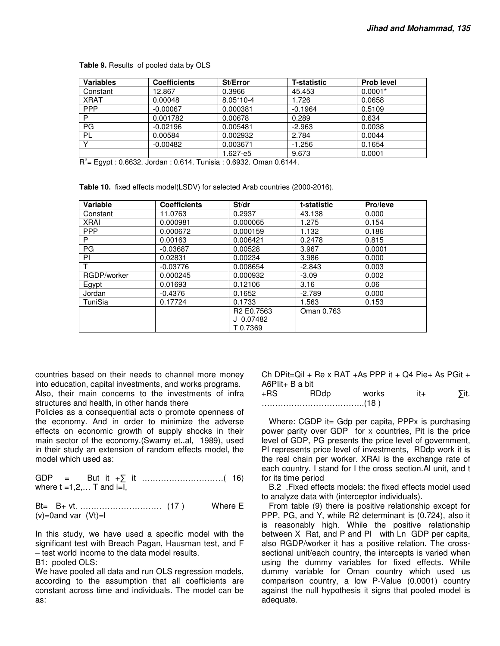| Variables   | <b>Coefficients</b> | St/Error    | <b>T-statistic</b> | <b>Prob level</b> |
|-------------|---------------------|-------------|--------------------|-------------------|
| Constant    | 12.867              | 0.3966      | 45.453             | $0.0001*$         |
| <b>XRAT</b> | 0.00048             | $8.05*10-4$ | 1.726              | 0.0658            |
| <b>PPP</b>  | $-0.00067$          | 0.000381    | $-0.1964$          | 0.5109            |
| P           | 0.001782            | 0.00678     | 0.289              | 0.634             |
| PG          | $-0.02196$          | 0.005481    | $-2.963$           | 0.0038            |
| PL          | 0.00584             | 0.002932    | 2.784              | 0.0044            |
|             | $-0.00482$          | 0.003671    | $-1.256$           | 0.1654            |
| $\sim$      |                     | 1.627-e5    | 9.673              | 0.0001            |

**Table 9.** Results of pooled data by OLS

 $R^2$ = Egypt : 0.6632. Jordan : 0.614. Tunisia : 0.6932. Oman 0.6144.

**Table 10.** fixed effects model(LSDV) for selected Arab countries (2000-2016).

| Variable    | <b>Coefficients</b> | St/dr                              | t-statistic | Pro/leve |
|-------------|---------------------|------------------------------------|-------------|----------|
| Constant    | 11.0763             | 0.2937                             | 43.138      | 0.000    |
| <b>XRAI</b> | 0.000981            | 0.000065                           | 1.275       | 0.154    |
| <b>PPP</b>  | 0.000672            | 0.000159                           | 1.132       | 0.186    |
| P           | 0.00163             | 0.006421                           | 0.2478      | 0.815    |
| PG          | $-0.03687$          | 0.00528                            | 3.967       | 0.0001   |
| ΡI          | 0.02831             | 0.00234                            | 3.986       | 0.000    |
|             | $-0.03776$          | 0.008654                           | $-2.843$    | 0.003    |
| RGDP/worker | 0.000245            | 0.000932                           | $-3.09$     | 0.002    |
| Egypt       | 0.01693             | 0.12106                            | 3.16        | 0.06     |
| Jordan      | $-0.4376$           | 0.1652                             | $-2.789$    | 0.000    |
| TuniSia     | 0.17724             | 0.1733                             | 1.563       | 0.153    |
|             |                     | R <sub>2</sub> E <sub>0.7563</sub> | Oman 0.763  |          |
|             |                     | J 0.07482                          |             |          |
|             |                     | T0.7369                            |             |          |

countries based on their needs to channel more money into education, capital investments, and works programs. Also, their main concerns to the investments of infra structures and health, in other hands there

Policies as a consequential acts o promote openness of the economy. And in order to minimize the adverse effects on economic growth of supply shocks in their main sector of the economy.(Swamy et..al, 1989), used in their study an extension of random effects model, the model which used as:

GDP = But it +∑ it …………………………( 16) where  $t = 1, 2, \ldots$  T and  $i = 1,$ 

Bt= B+ vt. ………………………… (17 ) Where E  $(v)=0$ and var  $(Vt)=1$ 

In this study, we have used a specific model with the significant test with Breach Pagan, Hausman test, and F – test world income to the data model results.

B1: pooled OLS:

We have pooled all data and run OLS regression models, according to the assumption that all coefficients are constant across time and individuals. The model can be as:

Ch DPit=Qil + Re x RAT +As PPP it + Q4 Pie+ As PGit +  $A6PIit + B$  a bit

+RS RDdp works it+ ∑it. ………………………………..(18 )

Where: CGDP it= Gdp per capita, PPPx is purchasing power parity over GDP for x countries, Pit is the price level of GDP, PG presents the price level of government, PI represents price level of investments. RDdp work it is the real chain per worker. XRAI is the exchange rate of each country. I stand for I the cross section.Al unit, and t for its time period

B.2 .Fixed effects models: the fixed effects model used to analyze data with (interceptor individuals).

From table (9) there is positive relationship except for PPP, PG, and Y, while R2 determinant is (0.724), also it is reasonably high. While the positive relationship between X Rat, and P and PI with Ln GDP per capita, also RGDP/worker it has a positive relation. The crosssectional unit/each country, the intercepts is varied when using the dummy variables for fixed effects. While dummy variable for Oman country which used us comparison country, a low P-Value (0.0001) country against the null hypothesis it signs that pooled model is adequate.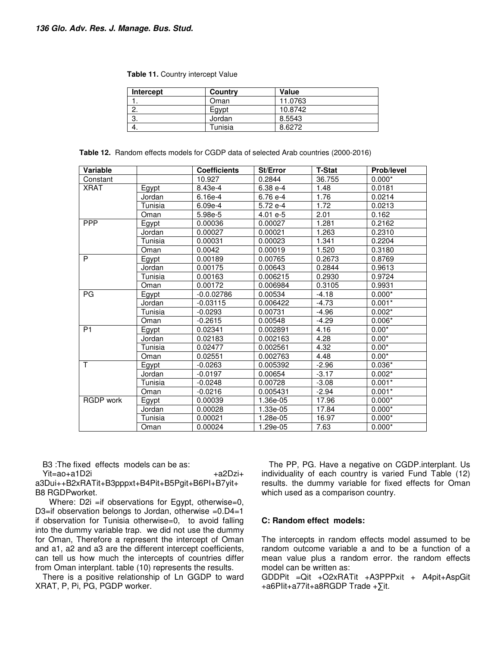| Table 11. Country intercept Value |  |
|-----------------------------------|--|
|-----------------------------------|--|

| Intercept | Country | Value   |  |
|-----------|---------|---------|--|
|           | Oman    | 11.0763 |  |
| Ω         | Egypt   | 10.8742 |  |
| -3.       | Jordan  | 8.5543  |  |
| -4.       | Tunisia | 8.6272  |  |

| <b>Table 12.</b> Random effects models for CGDP data of selected Arab countries (2000-2016) |  |  |
|---------------------------------------------------------------------------------------------|--|--|
|---------------------------------------------------------------------------------------------|--|--|

| <b>Variable</b>  |         | <b>Coefficients</b> | St/Error   | <b>T-Stat</b> | <b>Prob/level</b> |
|------------------|---------|---------------------|------------|---------------|-------------------|
| Constant         |         | 10.927              | 0.2844     | 36.755        | $0.000*$          |
| <b>XRAT</b>      | Egypt   | 8.43e-4             | 6.38 e-4   | 1.48          | 0.0181            |
|                  | Jordan  | $6.16e-4$           | 6.76 e-4   | 1.76          | 0.0214            |
|                  | Tunisia | $6.09e-4$           | 5.72 e-4   | 1.72          | 0.0213            |
|                  | Oman    | 5.98e-5             | $4.01 e-5$ | 2.01          | 0.162             |
| <b>PPP</b>       | Egypt   | 0.00036             | 0.00027    | 1.281         | 0.2162            |
|                  | Jordan  | 0.00027             | 0.00021    | 1.263         | 0.2310            |
|                  | Tunisia | 0.00031             | 0.00023    | 1.341         | 0.2204            |
|                  | Oman    | 0.0042              | 0.00019    | 1.520         | 0.3180            |
| P                | Egypt   | 0.00189             | 0.00765    | 0.2673        | 0.8769            |
|                  | Jordan  | 0.00175             | 0.00643    | 0.2844        | 0.9613            |
|                  | Tunisia | 0.00163             | 0.006215   | 0.2930        | 0.9724            |
|                  | Oman    | 0.00172             | 0.006984   | 0.3105        | 0.9931            |
| PG               | Egypt   | $-0.0.02786$        | 0.00534    | $-4.18$       | $0.000*$          |
|                  | Jordan  | $-0.03115$          | 0.006422   | $-4.73$       | $0.001*$          |
|                  | Tunisia | $-0.0293$           | 0.00731    | $-4.96$       | $0.002*$          |
|                  | Oman    | $-0.2615$           | 0.00548    | $-4.29$       | $0.006*$          |
| P <sub>1</sub>   | Egypt   | 0.02341             | 0.002891   | 4.16          | $0.00*$           |
|                  | Jordan  | 0.02183             | 0.002163   | 4.28          | $0.00*$           |
|                  | Tunisia | 0.02477             | 0.002561   | 4.32          | $0.00*$           |
|                  | Oman    | 0.02551             | 0.002763   | 4.48          | $0.00*$           |
| T                | Egypt   | $-0.0263$           | 0.005392   | $-2.96$       | $0.036*$          |
|                  | Jordan  | $-0.0197$           | 0.00654    | $-3.17$       | $0.002*$          |
|                  | Tunisia | $-0.0248$           | 0.00728    | $-3.08$       | $0.001*$          |
|                  | Oman    | $-0.0216$           | 0.005431   | $-2.94$       | $0.001*$          |
| <b>RGDP</b> work | Egypt   | 0.00039             | 1.36e-05   | 17.96         | $0.000*$          |
|                  | Jordan  | 0.00028             | 1.33e-05   | 17.84         | $0.000*$          |
|                  | Tunisia | 0.00021             | 1.28e-05   | 16.97         | $0.000*$          |
|                  | Oman    | 0.00024             | 1.29e-05   | 7.63          | $0.000*$          |

B3 :The fixed effects models can be as:

Yit=ao+a1D2i +a2Dzi+ a3Dui++B2xRATit+B3pppxt+B4Pit+B5Pgit+B6PI+B7yit+ B8 RGDPworket.

Where: D2i =if observations for Egypt, otherwise=0, D3=if observation belongs to Jordan, otherwise =0.D4=1 if observation for Tunisia otherwise=0, to avoid falling into the dummy variable trap. we did not use the dummy for Oman, Therefore a represent the intercept of Oman and a1, a2 and a3 are the different intercept coefficients, can tell us how much the intercepts of countries differ from Oman interplant. table (10) represents the results.

There is a positive relationship of Ln GGDP to ward XRAT, P, Pi, PG, PGDP worker.

The PP, PG. Have a negative on CGDP.interplant. Us individuality of each country is varied Fund Table (12) results. the dummy variable for fixed effects for Oman which used as a comparison country.

## **C: Random effect models:**

The intercepts in random effects model assumed to be random outcome variable a and to be a function of a mean value plus a random error. the random effects model can be written as:

GDDPit =Qit +O2xRATit +A3PPPxit + A4pit+AspGit +a6PIit+a77it+a8RGDP Trade +∑it.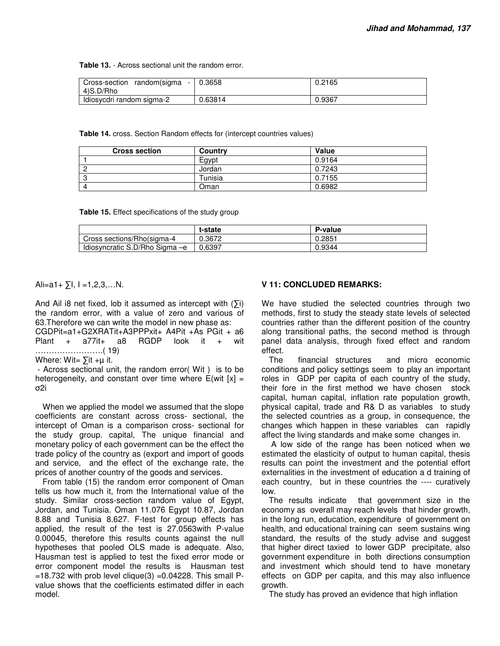**Table 13.** - Across sectional unit the random error.

| Cross-section<br>random(sigma<br>4)S.D/Rho | 0.3658  | 0.2165 |
|--------------------------------------------|---------|--------|
| ldiosycdri random sigma-2                  | 0.63814 | 0.9367 |

**Table 14.** cross. Section Random effects for (intercept countries values)

| <b>Cross section</b> | <b>Country</b> | Value  |
|----------------------|----------------|--------|
|                      | Egypt          | 0.9164 |
|                      | Jordan         | 0.7243 |
|                      | Tunisia        | 0.7155 |
|                      | Oman           | 0.6982 |

**Table 15.** Effect specifications of the study group

|                                | t-state | P-value |
|--------------------------------|---------|---------|
| Cross sections/Rho(sigma-4     | 0.3672  | 0.2851  |
| Idiosyncratic S.D/Rho Sigma -e | 0.6397  | 0.9344  |

Ali=a1+  $\Sigma$ I, I =1,2,3,...N.

And Ail i8 net fixed, lob it assumed as intercept with  $(Σi)$ the random error, with a value of zero and various of 63.Therefore we can write the model in new phase as:

CGDPit=a1+G2XRATit+A3PPPxit+ A4Pit +As PGit + a6 Plant + a77it+ a8 RGDP look it + wit …………………….( 19) Where: Wit=  $\sum$ it +µ it.

 - Across sectional unit, the random error( Wit ) is to be heterogeneity, and constant over time where  $E(wit [x] =$ σ2i

When we applied the model we assumed that the slope coefficients are constant across cross- sectional, the intercept of Oman is a comparison cross- sectional for the study group. capital, The unique financial and monetary policy of each government can be the effect the trade policy of the country as (export and import of goods and service, and the effect of the exchange rate, the prices of another country of the goods and services.

From table (15) the random error component of Oman tells us how much it, from the International value of the study. Similar cross-section random value of Egypt, Jordan, and Tunisia. Oman 11.076 Egypt 10.87, Jordan 8.88 and Tunisia 8.627. F-test for group effects has applied, the result of the test is 27.0563with P-value 0.00045, therefore this results counts against the null hypotheses that pooled OLS made is adequate. Also, Hausman test is applied to test the fixed error mode or error component model the results is Hausman test  $=18.732$  with prob level clique(3)  $=0.04228$ . This small Pvalue shows that the coefficients estimated differ in each model.

## **V 11: CONCLUDED REMARKS:**

We have studied the selected countries through two methods, first to study the steady state levels of selected countries rather than the different position of the country along transitional paths, the second method is through panel data analysis, through fixed effect and random effect.

The financial structures and micro economic conditions and policy settings seem to play an important roles in GDP per capita of each country of the study, their fore in the first method we have chosen stock capital, human capital, inflation rate population growth, physical capital, trade and R& D as variables to study the selected countries as a group, in consequence, the changes which happen in these variables can rapidly affect the living standards and make some changes in.

 A low side of the range has been noticed when we estimated the elasticity of output to human capital, thesis results can point the investment and the potential effort externalities in the investment of education a d training of each country, but in these countries the ---- curatively low.

The results indicate that government size in the economy as overall may reach levels that hinder growth, in the long run, education, expenditure of government on health, and educational training can seem sustains wing standard, the results of the study advise and suggest that higher direct taxied to lower GDP precipitate, also government expenditure in both directions consumption and investment which should tend to have monetary effects on GDP per capita, and this may also influence growth.

The study has proved an evidence that high inflation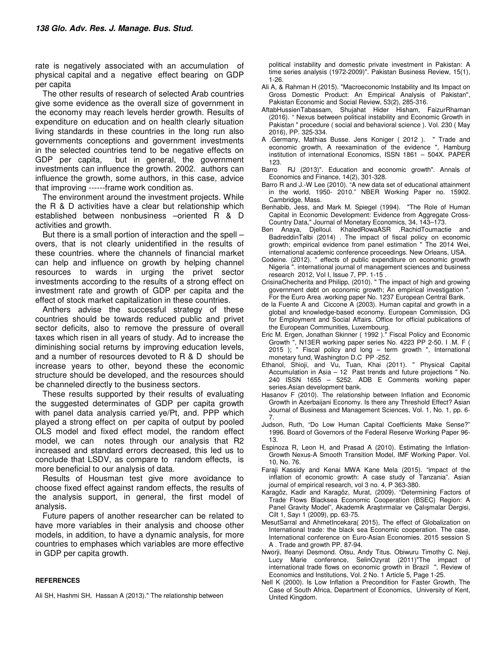rate is negatively associated with an accumulation of physical capital and a negative effect bearing on GDP per capita

The other results of research of selected Arab countries give some evidence as the overall size of government in the economy may reach levels herder growth. Results of expenditure on education and on health clearly situation living standards in these countries in the long run also governments conceptions and government investments in the selected countries tend to be negative effects on GDP per capita, but in general, the government investments can influence the growth. 2002. authors can influence the growth, some authors, in this case, advice that improving ------frame work condition as.

The environment around the investment projects. While the R & D activities have a clear but relationship which established between nonbusiness –oriented R & D activities and growth.

But there is a small portion of interaction and the spell – overs, that is not clearly unidentified in the results of these countries. where the channels of financial market can help and influence on growth by helping channel resources to wards in urging the privet sector investments according to the results of a strong effect on investment rate and growth of GDP per capita and the effect of stock market capitalization in these countries.

Anthers advise the successful strategy of these countries should be towards reduced public and privet sector deficits, also to remove the pressure of overall taxes which risen in all years of study. Ad to increase the diminishing social returns by improving education levels, and a number of resources devoted to R & D should be increase years to other, beyond these the economic structure should be developed, and the resources should be channeled directly to the business sectors.

These results supported by their results of evaluating the suggested determinates of GDP per capita growth with panel data analysis carried ye/Pt, and. PPP which played a strong effect on per capita of output by pooled OLS model and fixed effect model, the random effect model, we can notes through our analysis that R2 increased and standard errors decreased, this led us to conclude that LSDV, as compare to random effects, is more beneficial to our analysis of data.

Results of Housman test give more avoidance to choose fixed effect against random effects, the results of the analysis support, in general, the first model of analysis.

Future papers of another researcher can be related to have more variables in their analysis and choose other models, in addition, to have a dynamic analysis, for more countries to emphases which variables are more effective in GDP per capita growth.

#### **REFERENCES**

Ali SH, Hashmi SH, Hassan A (2013)." The relationship between

 political instability and domestic private investment in Pakistan: A time series analysis (1972-2009)". Pakistan Business Review, 15(1), 1-26.

- Ali A, & Rahman H (2015). "Macroeconomic Instability and Its Impact on Gross Domestic Product: An Empirical Analysis of Pakistan", Pakistan Economic and Social Review, 53(2), 285-316.
- AftabHussienTabassam, Shujahat Hider Hisham, FaizurRhaman (2016). " Nexus between political instability and Economic Growth in Pakistan " procedure ( social and behavioral science ). Vol. 230 ( May 2016), PP. 325-334.
- A .Germany, Mathias Busse. Jens Koniger ( 2012 ). " Trade and economic growth, A reexamination of the evidence ", Hamburg institution of international Economics, ISSN 1861 – 504X. PAPER
- 123.<br>Barro RJ (2013)". Education and economic growth". Annals of Economics and Finance, 14(2), 301-328.
- Barro R and J.-W Lee (2010). "A new data set of educational attainment in the world, 1950- 2010." NBER Working Paper no. 15902. Cambridge, Mass.
- Benhabib, Jess, and Mark M. Spiegel (1994). "The Role of Human Capital in Economic Development: Evidence from Aggregate Cross-Country Data," Journal of Monetary Economics, 34, 143–173.
- Ben Anaya, Djelloul. KhaledRowaASR .RachidToumactie and BadreddinTalbi (2014) . The impact of fiscal policy on economic growth; empirical evidence from panel estimation " The 2014 Wei, international academic conference proceedings. New Orleans, USA.
- Codeine. (2012). " effects of public expenditure on economic growth Nigeria ". international journal of management sciences and business research 2012, Vol I, Issue 7, PP. 1-15 .
- CrisinaChecherita and Philipp, (2010). " The impact of high and growing government debt on economic growth; An empirical investigation ' For the Euro Area .working paper No. 1237 European Central Bank.
- de la Fuente A and Ciccone A (2003). Human capital and growth in a global and knowledge-based economy. European Commission, DG for Employment and Social Affairs. Office for official publications of the European Communities, Luxembourg.
- Eric M. Ergen, Jonathan Skinner ( 1992 )." Fiscal Policy and Economic Growth ", N13ER working paper series No. 4223 PP 2-50. I .M. F ( 2015 ); " Fiscal policy and long – term growth ", International monetary fund, Washington D.C PP -252.
- Ethanol, Shioji, and Vu, Tuan, Khai (2011). " Physical Capital Accumulation in Asia – 12 Past trends and future projections " No. 240 ISSN 1655 – 5252. ADB E Comments working paper series.Asian development bank.
- Hasanov F (2010). The relationship between Inflation and Economic Growth in Azerbaijani Economy. Is there any Threshold Effect? Asian Journal of Business and Management Sciences, Vol. 1, No. 1, pp. 6- 7.
- Judson, Ruth, "Do Low Human Capital Coefficients Make Sense?" 1996. Board of Governors of the Federal Reserve Working Paper 96- 13.
- Espinoza R, Leon H, and Prasad A (2010). Estimating the Inflation-Growth Nexus-A Smooth Transition Model, IMF Working Paper. Vol. 10, No. 76.
- Faraji Kassidy and Kenai MWA Kane Mela (2015). "impact of the inflation of economic growth: A case study of Tanzania". Asian journal of empirical research, vol 3 no. 4, P 363-380.
- Karagöz, Kadir and Karagöz, Murat, (2009). "Determining Factors of Trade Flows Blacksea Economic Cooperation (BSEC) Region: A Panel Gravity Model", Akademik Araştırmalar ve Çalışmalar Dergisi, Cilt 1, Sayı 1 (2009), pp. 63-75.
- MesutSarral and AhmetIncekara( 2015), The effect of Globalization on International trade: the black sea Economic cooperation. The case, International conference on Euro-Asian Economies. 2015 session S A . Trade and growth PP. 87-94.
- Nworji, Ifeanyi Desmond. Otsu, Andy Titus. Obiwuru Timothy C. Neji, Lucy Marie conference, SelinOzyrat (2011)"The impact of international trade flows on economic growth in Brazil ", Review of Economics and Institutions, Vol. 2 No. 1 Article 5, Page 1-25.
- Nell K (2000). Is Low Inflation a Precondition for Faster Growth, The Case of South Africa, Department of Economics, University of Kent, United Kingdom.